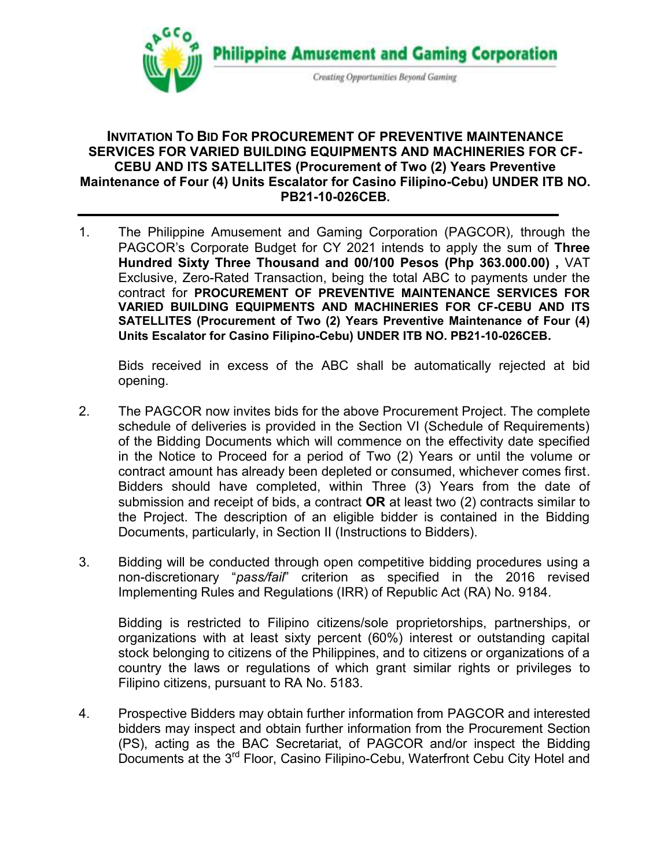

## **INVITATION TO BID FOR PROCUREMENT OF PREVENTIVE MAINTENANCE SERVICES FOR VARIED BUILDING EQUIPMENTS AND MACHINERIES FOR CF-CEBU AND ITS SATELLITES (Procurement of Two (2) Years Preventive Maintenance of Four (4) Units Escalator for Casino Filipino-Cebu) UNDER ITB NO. PB21-10-026CEB.**

1. The Philippine Amusement and Gaming Corporation (PAGCOR)*,* through the PAGCOR's Corporate Budget for CY 2021 intends to apply the sum of **Three Hundred Sixty Three Thousand and 00/100 Pesos (Php 363.000.00) ,** VAT Exclusive, Zero-Rated Transaction, being the total ABC to payments under the contract for **PROCUREMENT OF PREVENTIVE MAINTENANCE SERVICES FOR VARIED BUILDING EQUIPMENTS AND MACHINERIES FOR CF-CEBU AND ITS SATELLITES (Procurement of Two (2) Years Preventive Maintenance of Four (4) Units Escalator for Casino Filipino-Cebu) UNDER ITB NO. PB21-10-026CEB.**

Bids received in excess of the ABC shall be automatically rejected at bid opening.

- 2. The PAGCOR now invites bids for the above Procurement Project. The complete schedule of deliveries is provided in the Section VI (Schedule of Requirements) of the Bidding Documents which will commence on the effectivity date specified in the Notice to Proceed for a period of Two (2) Years or until the volume or contract amount has already been depleted or consumed, whichever comes first. Bidders should have completed, within Three (3) Years from the date of submission and receipt of bids, a contract **OR** at least two (2) contracts similar to the Project. The description of an eligible bidder is contained in the Bidding Documents, particularly, in Section II (Instructions to Bidders).
- 3. Bidding will be conducted through open competitive bidding procedures using a non-discretionary "*pass/fail*" criterion as specified in the 2016 revised Implementing Rules and Regulations (IRR) of Republic Act (RA) No. 9184.

Bidding is restricted to Filipino citizens/sole proprietorships, partnerships, or organizations with at least sixty percent (60%) interest or outstanding capital stock belonging to citizens of the Philippines, and to citizens or organizations of a country the laws or regulations of which grant similar rights or privileges to Filipino citizens, pursuant to RA No. 5183.

4. Prospective Bidders may obtain further information from PAGCOR and interested bidders may inspect and obtain further information from the Procurement Section (PS), acting as the BAC Secretariat, of PAGCOR and/or inspect the Bidding Documents at the 3<sup>rd</sup> Floor, Casino Filipino-Cebu, Waterfront Cebu City Hotel and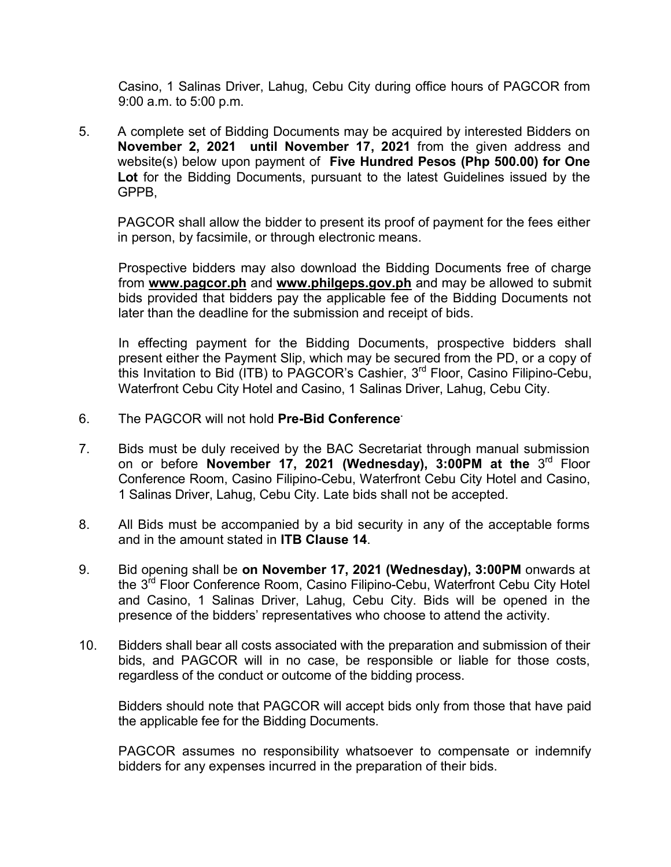Casino, 1 Salinas Driver, Lahug, Cebu City during office hours of PAGCOR from 9:00 a.m. to 5:00 p.m.

5. A complete set of Bidding Documents may be acquired by interested Bidders on **November 2, 2021 until November 17, 2021** from the given address and website(s) below upon payment of **Five Hundred Pesos (Php 500.00) for One Lot** for the Bidding Documents, pursuant to the latest Guidelines issued by the GPPB,

PAGCOR shall allow the bidder to present its proof of payment for the fees either in person, by facsimile, or through electronic means.

Prospective bidders may also download the Bidding Documents free of charge from **[www.pagcor.ph](http://www.pagcor.ph/)** and **www.philgeps.gov.ph** and may be allowed to submit bids provided that bidders pay the applicable fee of the Bidding Documents not later than the deadline for the submission and receipt of bids.

In effecting payment for the Bidding Documents, prospective bidders shall present either the Payment Slip, which may be secured from the PD, or a copy of this Invitation to Bid (ITB) to PAGCOR's Cashier,  $3^{\text{rd}}$  Floor, Casino Filipino-Cebu, Waterfront Cebu City Hotel and Casino, 1 Salinas Driver, Lahug, Cebu City.

- 6. The PAGCOR will not hold **Pre-Bid Conference.**
- 7. Bids must be duly received by the BAC Secretariat through manual submission on or before **November 17, 2021 (Wednesday), 3:00PM at the** 3<sup>rd</sup> Floor Conference Room, Casino Filipino-Cebu, Waterfront Cebu City Hotel and Casino, 1 Salinas Driver, Lahug, Cebu City. Late bids shall not be accepted.
- 8. All Bids must be accompanied by a bid security in any of the acceptable forms and in the amount stated in **ITB Clause 14**.
- 9. Bid opening shall be **on November 17, 2021 (Wednesday), 3:00PM** onwards at the 3<sup>rd</sup> Floor Conference Room, Casino Filipino-Cebu, Waterfront Cebu City Hotel and Casino, 1 Salinas Driver, Lahug, Cebu City. Bids will be opened in the presence of the bidders' representatives who choose to attend the activity.
- 10. Bidders shall bear all costs associated with the preparation and submission of their bids, and PAGCOR will in no case, be responsible or liable for those costs, regardless of the conduct or outcome of the bidding process.

Bidders should note that PAGCOR will accept bids only from those that have paid the applicable fee for the Bidding Documents.

PAGCOR assumes no responsibility whatsoever to compensate or indemnify bidders for any expenses incurred in the preparation of their bids.